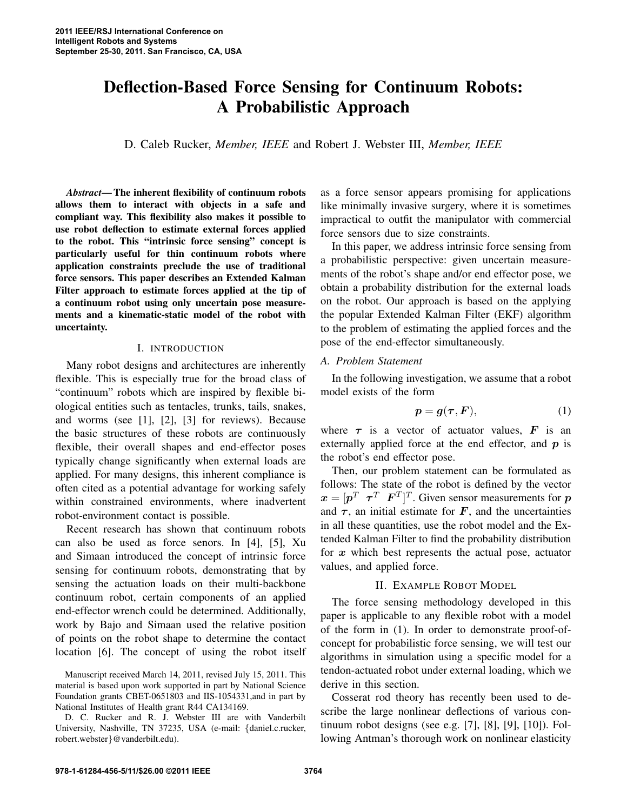# Deflection-Based Force Sensing for Continuum Robots: A Probabilistic Approach

D. Caleb Rucker, *Member, IEEE* and Robert J. Webster III, *Member, IEEE*

*Abstract*— The inherent flexibility of continuum robots allows them to interact with objects in a safe and compliant way. This flexibility also makes it possible to use robot deflection to estimate external forces applied to the robot. This "intrinsic force sensing" concept is particularly useful for thin continuum robots where application constraints preclude the use of traditional force sensors. This paper describes an Extended Kalman Filter approach to estimate forces applied at the tip of a continuum robot using only uncertain pose measurements and a kinematic-static model of the robot with uncertainty.

## I. INTRODUCTION

Many robot designs and architectures are inherently flexible. This is especially true for the broad class of "continuum" robots which are inspired by flexible biological entities such as tentacles, trunks, tails, snakes, and worms (see [1], [2], [3] for reviews). Because the basic structures of these robots are continuously flexible, their overall shapes and end-effector poses typically change significantly when external loads are applied. For many designs, this inherent compliance is often cited as a potential advantage for working safely within constrained environments, where inadvertent robot-environment contact is possible.

Recent research has shown that continuum robots can also be used as force senors. In [4], [5], Xu and Simaan introduced the concept of intrinsic force sensing for continuum robots, demonstrating that by sensing the actuation loads on their multi-backbone continuum robot, certain components of an applied end-effector wrench could be determined. Additionally, work by Bajo and Simaan used the relative position of points on the robot shape to determine the contact location [6]. The concept of using the robot itself as a force sensor appears promising for applications like minimally invasive surgery, where it is sometimes impractical to outfit the manipulator with commercial force sensors due to size constraints.

In this paper, we address intrinsic force sensing from a probabilistic perspective: given uncertain measurements of the robot's shape and/or end effector pose, we obtain a probability distribution for the external loads on the robot. Our approach is based on the applying the popular Extended Kalman Filter (EKF) algorithm to the problem of estimating the applied forces and the pose of the end-effector simultaneously.

# *A. Problem Statement*

In the following investigation, we assume that a robot model exists of the form

$$
p = g(\tau, F), \tag{1}
$$

where  $\tau$  is a vector of actuator values,  $\boldsymbol{F}$  is an externally applied force at the end effector, and  $p$  is the robot's end effector pose.

Then, our problem statement can be formulated as follows: The state of the robot is defined by the vector  $\boldsymbol{x} = [\boldsymbol{p}^T \ \ \boldsymbol{\tau}^T \ \ \boldsymbol{F}^T]^T$ . Given sensor measurements for  $\boldsymbol{p}$ and  $\tau$ , an initial estimate for  $\vec{F}$ , and the uncertainties in all these quantities, use the robot model and the Extended Kalman Filter to find the probability distribution for  $x$  which best represents the actual pose, actuator values, and applied force.

## II. EXAMPLE ROBOT MODEL

The force sensing methodology developed in this paper is applicable to any flexible robot with a model of the form in (1). In order to demonstrate proof-ofconcept for probabilistic force sensing, we will test our algorithms in simulation using a specific model for a tendon-actuated robot under external loading, which we derive in this section.

Cosserat rod theory has recently been used to describe the large nonlinear deflections of various continuum robot designs (see e.g. [7], [8], [9], [10]). Following Antman's thorough work on nonlinear elasticity

Manuscript received March 14, 2011, revised July 15, 2011. This material is based upon work supported in part by National Science Foundation grants CBET-0651803 and IIS-1054331,and in part by National Institutes of Health grant R44 CA134169.

D. C. Rucker and R. J. Webster III are with Vanderbilt University, Nashville, TN 37235, USA (e-mail: {daniel.c.rucker, robert.webster}@vanderbilt.edu).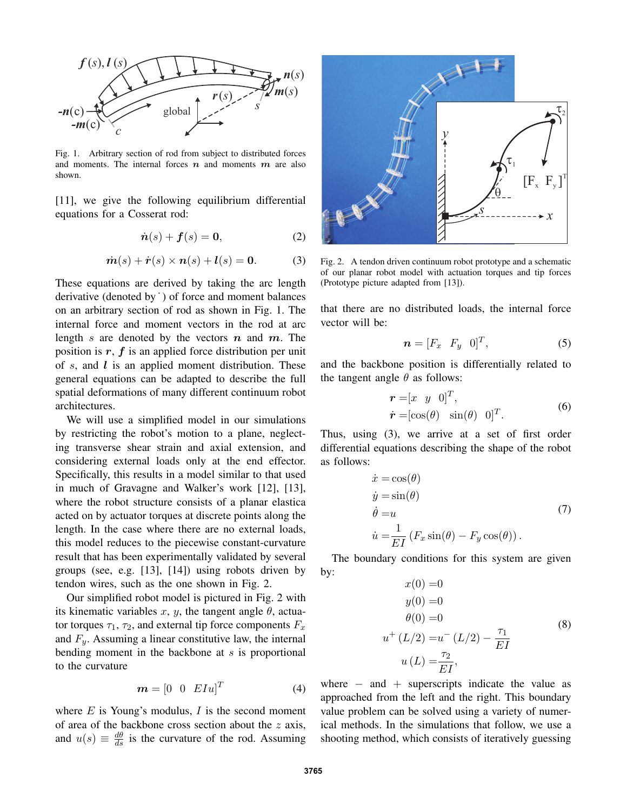

Fig. 1. Arbitrary section of rod from subject to distributed forces and moments. The internal forces  $n$  and moments  $m$  are also shown.

[11], we give the following equilibrium differential equations for a Cosserat rod:

$$
\dot{n}(s) + f(s) = 0,\t(2)
$$

$$
\dot{\boldsymbol{m}}(s) + \dot{\boldsymbol{r}}(s) \times \boldsymbol{n}(s) + \boldsymbol{l}(s) = \mathbf{0}.\tag{3}
$$

These equations are derived by taking the arc length derivative (denoted by ˙) of force and moment balances on an arbitrary section of rod as shown in Fig. 1. The internal force and moment vectors in the rod at arc length s are denoted by the vectors  $n$  and  $m$ . The position is  $r$ ,  $f$  is an applied force distribution per unit of  $s$ , and  $l$  is an applied moment distribution. These general equations can be adapted to describe the full spatial deformations of many different continuum robot architectures.

We will use a simplified model in our simulations by restricting the robot's motion to a plane, neglecting transverse shear strain and axial extension, and considering external loads only at the end effector. Specifically, this results in a model similar to that used in much of Gravagne and Walker's work [12], [13], where the robot structure consists of a planar elastica acted on by actuator torques at discrete points along the length. In the case where there are no external loads, this model reduces to the piecewise constant-curvature result that has been experimentally validated by several groups (see, e.g. [13], [14]) using robots driven by tendon wires, such as the one shown in Fig. 2.

Our simplified robot model is pictured in Fig. 2 with its kinematic variables x, y, the tangent angle  $\theta$ , actuator torques  $\tau_1$ ,  $\tau_2$ , and external tip force components  $F_x$ and  $F_y$ . Assuming a linear constitutive law, the internal bending moment in the backbone at  $s$  is proportional to the curvature

$$
\mathbf{m} = \begin{bmatrix} 0 & 0 & ELu \end{bmatrix}^T \tag{4}
$$

where  $E$  is Young's modulus,  $I$  is the second moment of area of the backbone cross section about the  $z$  axis, and  $u(s) \equiv \frac{d\theta}{ds}$  is the curvature of the rod. Assuming



Fig. 2. A tendon driven continuum robot prototype and a schematic of our planar robot model with actuation torques and tip forces (Prototype picture adapted from [13]).

that there are no distributed loads, the internal force vector will be:

$$
\boldsymbol{n} = [F_x \quad F_y \quad 0]^T, \tag{5}
$$

and the backbone position is differentially related to the tangent angle  $\theta$  as follows:

$$
\mathbf{r} = [x \ y \ 0]^T, \n\dot{\mathbf{r}} = [\cos(\theta) \ \sin(\theta) \ 0]^T.
$$
\n(6)

Thus, using (3), we arrive at a set of first order differential equations describing the shape of the robot as follows:

$$
\begin{aligned}\n\dot{x} &= \cos(\theta) \\
\dot{y} &= \sin(\theta) \\
\dot{\theta} &= u\n\end{aligned} \tag{7}
$$
\n
$$
\dot{u} = \frac{1}{EI} (F_x \sin(\theta) - F_y \cos(\theta)).
$$

The boundary conditions for this system are given by:

$$
x(0) = 0
$$
  
\n
$$
y(0) = 0
$$
  
\n
$$
\theta(0) = 0
$$
  
\n
$$
u^+(L/2) = u^-(L/2) - \frac{\tau_1}{EI}
$$
  
\n
$$
u(L) = \frac{\tau_2}{EI},
$$
\n(8)

where  $-$  and  $+$  superscripts indicate the value as approached from the left and the right. This boundary value problem can be solved using a variety of numerical methods. In the simulations that follow, we use a shooting method, which consists of iteratively guessing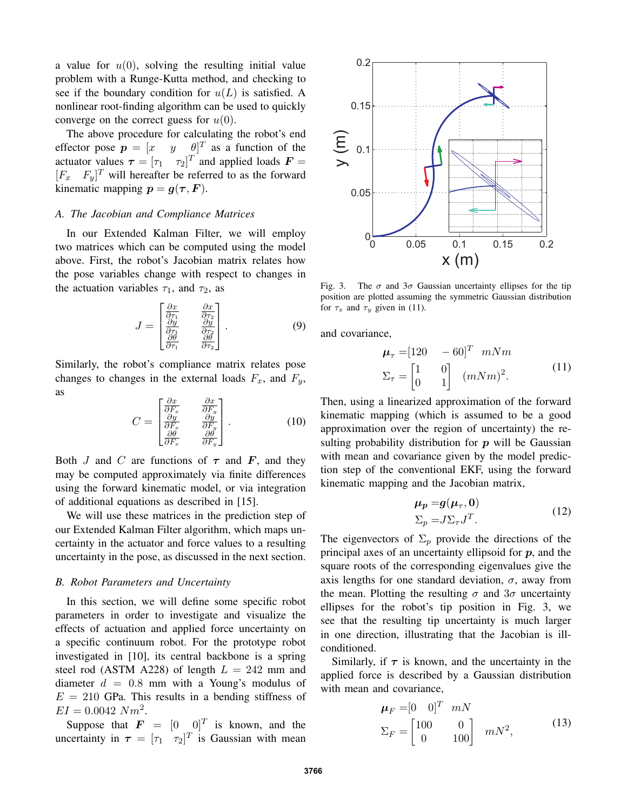a value for  $u(0)$ , solving the resulting initial value problem with a Runge-Kutta method, and checking to see if the boundary condition for  $u(L)$  is satisfied. A nonlinear root-finding algorithm can be used to quickly converge on the correct guess for  $u(0)$ .

The above procedure for calculating the robot's end effector pose  $p = [x \ y \ \theta]^T$  as a function of the actuator values  $\boldsymbol{\tau} = [\tau_1 \quad \tau_2]^T$  and applied loads  $\boldsymbol{F} =$  $[F_x \quad F_y]^T$  will hereafter be referred to as the forward kinematic mapping  $p = g(\tau, F)$ .

# *A. The Jacobian and Compliance Matrices*

In our Extended Kalman Filter, we will employ two matrices which can be computed using the model above. First, the robot's Jacobian matrix relates how the pose variables change with respect to changes in the actuation variables  $\tau_1$ , and  $\tau_2$ , as

$$
J = \begin{bmatrix} \frac{\partial x}{\partial \tau_1} & \frac{\partial x}{\partial \tau_2} \\ \frac{\partial y}{\partial \tau_1} & \frac{\partial y}{\partial \tau_2} \\ \frac{\partial \theta}{\partial \tau_1} & \frac{\partial \theta}{\partial \tau_2} \end{bmatrix} . \tag{9}
$$

Similarly, the robot's compliance matrix relates pose changes to changes in the external loads  $F_x$ , and  $F_y$ , as

$$
C = \begin{bmatrix} \frac{\partial x}{\partial F_x} & \frac{\partial x}{\partial F_y} \\ \frac{\partial y}{\partial F_x} & \frac{\partial y}{\partial F_y} \\ \frac{\partial \theta}{\partial F_x} & \frac{\partial \theta}{\partial F_y} \end{bmatrix} .
$$
 (10)

Both J and C are functions of  $\tau$  and  $\mathbf{F}$ , and they may be computed approximately via finite differences using the forward kinematic model, or via integration of additional equations as described in [15].

We will use these matrices in the prediction step of our Extended Kalman Filter algorithm, which maps uncertainty in the actuator and force values to a resulting uncertainty in the pose, as discussed in the next section.

#### *B. Robot Parameters and Uncertainty*

In this section, we will define some specific robot parameters in order to investigate and visualize the effects of actuation and applied force uncertainty on a specific continuum robot. For the prototype robot investigated in [10], its central backbone is a spring steel rod (ASTM A228) of length  $L = 242$  mm and diameter  $d = 0.8$  mm with a Young's modulus of  $E = 210$  GPa. This results in a bending stiffness of  $EI = 0.0042 \; Nm^2.$ 

Suppose that  $\mathbf{F} = \begin{bmatrix} 0 & 0 \end{bmatrix}^T$  is known, and the uncertainty in  $\tau = [\tau_1 \quad \tau_2]^T$  is Gaussian with mean



Fig. 3. The  $\sigma$  and  $3\sigma$  Gaussian uncertainty ellipses for the tip position are plotted assuming the symmetric Gaussian distribution for  $\tau_x$  and  $\tau_y$  given in (11).

and covariance,

$$
\mu_{\tau} = [120 \quad -60]^T \quad mNm
$$
  

$$
\Sigma_{\tau} = \begin{bmatrix} 1 & 0 \\ 0 & 1 \end{bmatrix} \quad (mNm)^2.
$$
 (11)

Then, using a linearized approximation of the forward kinematic mapping (which is assumed to be a good approximation over the region of uncertainty) the resulting probability distribution for  $p$  will be Gaussian with mean and covariance given by the model prediction step of the conventional EKF, using the forward kinematic mapping and the Jacobian matrix,

$$
\mu_p = g(\mu_\tau, 0) \n\Sigma_p = J\Sigma_\tau J^T.
$$
\n(12)

The eigenvectors of  $\Sigma_p$  provide the directions of the principal axes of an uncertainty ellipsoid for  $p$ , and the square roots of the corresponding eigenvalues give the axis lengths for one standard deviation,  $\sigma$ , away from the mean. Plotting the resulting  $\sigma$  and  $3\sigma$  uncertainty ellipses for the robot's tip position in Fig. 3, we see that the resulting tip uncertainty is much larger in one direction, illustrating that the Jacobian is illconditioned.

Similarly, if  $\tau$  is known, and the uncertainty in the applied force is described by a Gaussian distribution with mean and covariance,

$$
\mu_F = \begin{bmatrix} 0 & 0 \end{bmatrix}^T \quad mN
$$
  
\n
$$
\Sigma_F = \begin{bmatrix} 100 & 0 \\ 0 & 100 \end{bmatrix} \quad mN^2,
$$
 (13)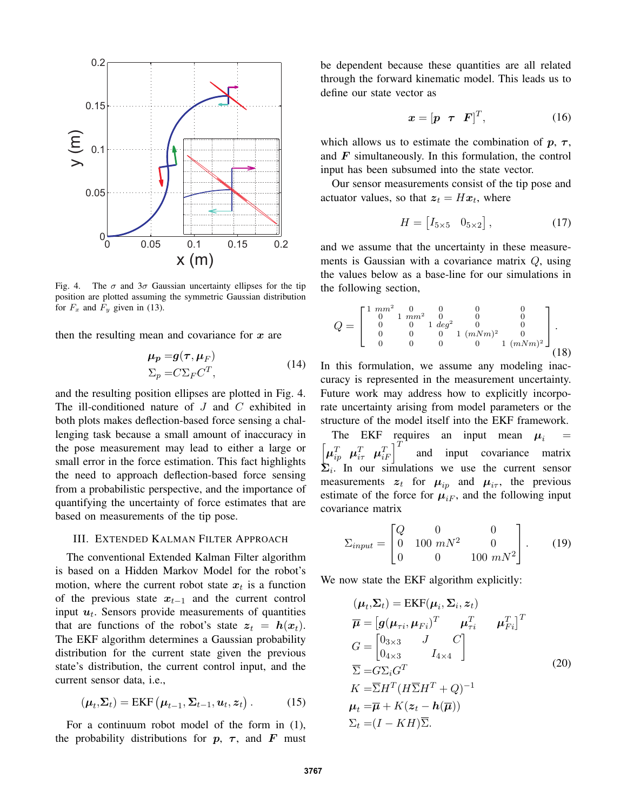

Fig. 4. The  $\sigma$  and  $3\sigma$  Gaussian uncertainty ellipses for the tip position are plotted assuming the symmetric Gaussian distribution for  $F_x$  and  $F_y$  given in (13).

then the resulting mean and covariance for  $x$  are

$$
\mu_p = g(\tau, \mu_F) \n\Sigma_p = C \Sigma_F C^T,
$$
\n(14)

and the resulting position ellipses are plotted in Fig. 4. The ill-conditioned nature of J and C exhibited in both plots makes deflection-based force sensing a challenging task because a small amount of inaccuracy in the pose measurement may lead to either a large or small error in the force estimation. This fact highlights the need to approach deflection-based force sensing from a probabilistic perspective, and the importance of quantifying the uncertainty of force estimates that are based on measurements of the tip pose.

# III. EXTENDED KALMAN FILTER APPROACH

The conventional Extended Kalman Filter algorithm is based on a Hidden Markov Model for the robot's motion, where the current robot state  $x_t$  is a function of the previous state  $x_{t-1}$  and the current control input  $u_t$ . Sensors provide measurements of quantities that are functions of the robot's state  $z_t = h(x_t)$ . The EKF algorithm determines a Gaussian probability distribution for the current state given the previous state's distribution, the current control input, and the current sensor data, i.e.,

$$
(\boldsymbol{\mu}_t, \boldsymbol{\Sigma}_t) = \text{EKF}\left(\boldsymbol{\mu}_{t-1}, \boldsymbol{\Sigma}_{t-1}, \boldsymbol{u}_t, \boldsymbol{z}_t\right). \tag{15}
$$

For a continuum robot model of the form in (1), the probability distributions for  $p$ ,  $\tau$ , and F must be dependent because these quantities are all related through the forward kinematic model. This leads us to define our state vector as

$$
\boldsymbol{x} = [\boldsymbol{p} \ \ \boldsymbol{\tau} \ \ \boldsymbol{F}]^T,\tag{16}
$$

which allows us to estimate the combination of  $p, \tau$ , and  $\boldsymbol{F}$  simultaneously. In this formulation, the control input has been subsumed into the state vector.

Our sensor measurements consist of the tip pose and actuator values, so that  $z_t = Hx_t$ , where

$$
H = \begin{bmatrix} I_{5 \times 5} & 0_{5 \times 2} \end{bmatrix},\tag{17}
$$

and we assume that the uncertainty in these measurements is Gaussian with a covariance matrix Q, using the values below as a base-line for our simulations in the following section,

$$
Q = \begin{bmatrix} 1 & mm^2 & 0 & 0 & 0 & 0 \\ 0 & 1 & mm^2 & 0 & 0 & 0 \\ 0 & 0 & 1 & deg^2 & 0 & 0 \\ 0 & 0 & 0 & 1 & (mNm)^2 & 0 \\ 0 & 0 & 0 & 0 & 1 & (mNm)^2 \end{bmatrix}.
$$
\n
$$
(18)
$$

In this formulation, we assume any modeling inaccuracy is represented in the measurement uncertainty. Future work may address how to explicitly incorporate uncertainty arising from model parameters or the structure of the model itself into the EKF framework.

The EKF requires an input mean  $\mu_i$  $\begin{bmatrix} \boldsymbol{\mu}^T_{ip} & \boldsymbol{\mu}^T_{i\tau} & \boldsymbol{\mu}^T_{iF} \end{bmatrix}^T$ and input covariance matrix  $\Sigma_i$ . In our simulations we use the current sensor measurements  $z_t$  for  $\mu_{ip}$  and  $\mu_{i\tau}$ , the previous estimate of the force for  $\mu_{iF}$ , and the following input covariance matrix

$$
\Sigma_{input} = \begin{bmatrix} Q & 0 & 0 \\ 0 & 100 \ mN^2 & 0 \\ 0 & 0 & 100 \ mN^2 \end{bmatrix} . \tag{19}
$$

We now state the EKF algorithm explicitly:

$$
(\mu_t, \Sigma_t) = EKF(\mu_i, \Sigma_i, z_t)
$$
  
\n
$$
\overline{\mu} = [g(\mu_{\tau i}, \mu_{Fi})^T \quad \mu_{\tau i}^T \quad \mu_{Fi}^T]^T
$$
  
\n
$$
G = \begin{bmatrix} 0_{3 \times 3} & J & C \\ 0_{4 \times 3} & I_{4 \times 4} \end{bmatrix}
$$
  
\n
$$
\overline{\Sigma} = G\Sigma_i G^T
$$
  
\n
$$
K = \overline{\Sigma}H^T (H\overline{\Sigma}H^T + Q)^{-1}
$$
  
\n
$$
\mu_t = \overline{\mu} + K(z_t - h(\overline{\mu}))
$$
  
\n
$$
\Sigma_t = (I - KH)\overline{\Sigma}.
$$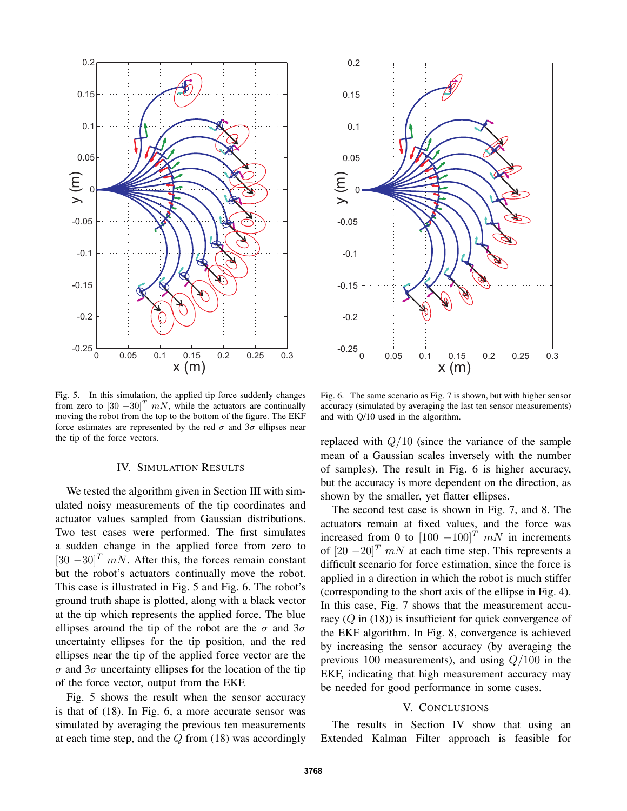

Fig. 5. In this simulation, the applied tip force suddenly changes from zero to  $[30 -30]^T$  mN, while the actuators are continually moving the robot from the top to the bottom of the figure. The EKF force estimates are represented by the red  $\sigma$  and  $3\sigma$  ellipses near the tip of the force vectors.

## IV. SIMULATION RESULTS

We tested the algorithm given in Section III with simulated noisy measurements of the tip coordinates and actuator values sampled from Gaussian distributions. Two test cases were performed. The first simulates a sudden change in the applied force from zero to  $[30 -30]^T$  mN. After this, the forces remain constant but the robot's actuators continually move the robot. This case is illustrated in Fig. 5 and Fig. 6. The robot's ground truth shape is plotted, along with a black vector at the tip which represents the applied force. The blue ellipses around the tip of the robot are the  $\sigma$  and  $3\sigma$ uncertainty ellipses for the tip position, and the red ellipses near the tip of the applied force vector are the  $\sigma$  and  $3\sigma$  uncertainty ellipses for the location of the tip of the force vector, output from the EKF.

Fig. 5 shows the result when the sensor accuracy is that of (18). In Fig. 6, a more accurate sensor was simulated by averaging the previous ten measurements at each time step, and the  $Q$  from (18) was accordingly



Fig. 6. The same scenario as Fig. 7 is shown, but with higher sensor accuracy (simulated by averaging the last ten sensor measurements) and with Q/10 used in the algorithm.

replaced with  $Q/10$  (since the variance of the sample mean of a Gaussian scales inversely with the number of samples). The result in Fig. 6 is higher accuracy, but the accuracy is more dependent on the direction, as shown by the smaller, yet flatter ellipses.

The second test case is shown in Fig. 7, and 8. The actuators remain at fixed values, and the force was increased from 0 to  $[100 - 100]^T$  mN in increments of  $[20 - 20]^T$  mN at each time step. This represents a difficult scenario for force estimation, since the force is applied in a direction in which the robot is much stiffer (corresponding to the short axis of the ellipse in Fig. 4). In this case, Fig. 7 shows that the measurement accuracy  $(Q \text{ in } (18))$  is insufficient for quick convergence of the EKF algorithm. In Fig. 8, convergence is achieved by increasing the sensor accuracy (by averaging the previous 100 measurements), and using  $Q/100$  in the EKF, indicating that high measurement accuracy may be needed for good performance in some cases.

#### V. CONCLUSIONS

The results in Section IV show that using an Extended Kalman Filter approach is feasible for